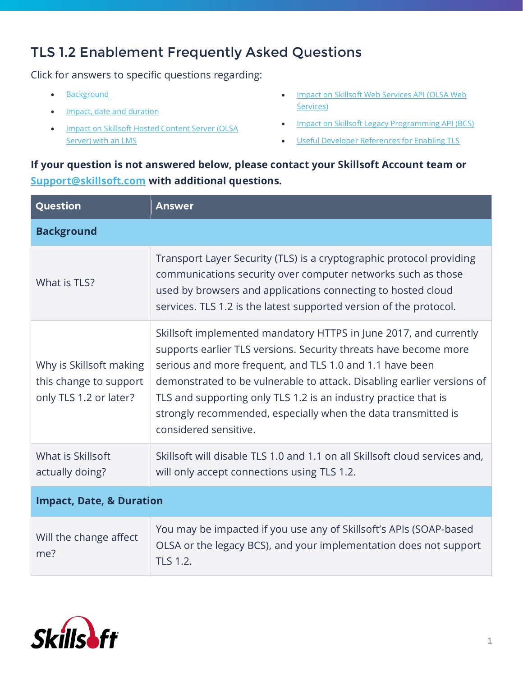## TLS 1.2 Enablement Frequently Asked Questions

Click for answers to specific questions regarding:

- [Background](#page-0-0)
- [Impact, date and duration](#page-0-1)
- Impact on Skillsoft Hosted Content Server (OLSA [Server\) with an LMS](#page-3-0)
- Impact on Skillsoft Web Services API (OLSA Web [Services\)](#page-3-1)
- [Impact on Skillsoft Legacy Programming API \(BCS\)](#page-4-0)
- [Useful Developer References for Enabling TLS](#page-4-1)

**If your question is not answered below, please contact your Skillsoft Account team or [Support@skillsoft.com](mailto:Support@skillsoft.com) with additional questions.**

<span id="page-0-0"></span>

| Question                                                                    | <b>Answer</b>                                                                                                                                                                                                                                                                                                                                                                                                                            |
|-----------------------------------------------------------------------------|------------------------------------------------------------------------------------------------------------------------------------------------------------------------------------------------------------------------------------------------------------------------------------------------------------------------------------------------------------------------------------------------------------------------------------------|
| <b>Background</b>                                                           |                                                                                                                                                                                                                                                                                                                                                                                                                                          |
| What is TLS?                                                                | Transport Layer Security (TLS) is a cryptographic protocol providing<br>communications security over computer networks such as those<br>used by browsers and applications connecting to hosted cloud<br>services. TLS 1.2 is the latest supported version of the protocol.                                                                                                                                                               |
| Why is Skillsoft making<br>this change to support<br>only TLS 1.2 or later? | Skillsoft implemented mandatory HTTPS in June 2017, and currently<br>supports earlier TLS versions. Security threats have become more<br>serious and more frequent, and TLS 1.0 and 1.1 have been<br>demonstrated to be vulnerable to attack. Disabling earlier versions of<br>TLS and supporting only TLS 1.2 is an industry practice that is<br>strongly recommended, especially when the data transmitted is<br>considered sensitive. |
| What is Skillsoft<br>actually doing?                                        | Skillsoft will disable TLS 1.0 and 1.1 on all Skillsoft cloud services and,<br>will only accept connections using TLS 1.2.                                                                                                                                                                                                                                                                                                               |
| <b>Impact, Date, &amp; Duration</b>                                         |                                                                                                                                                                                                                                                                                                                                                                                                                                          |
| Will the change affect<br>me?                                               | You may be impacted if you use any of Skillsoft's APIs (SOAP-based<br>OLSA or the legacy BCS), and your implementation does not support<br><b>TLS 1.2.</b>                                                                                                                                                                                                                                                                               |

<span id="page-0-1"></span>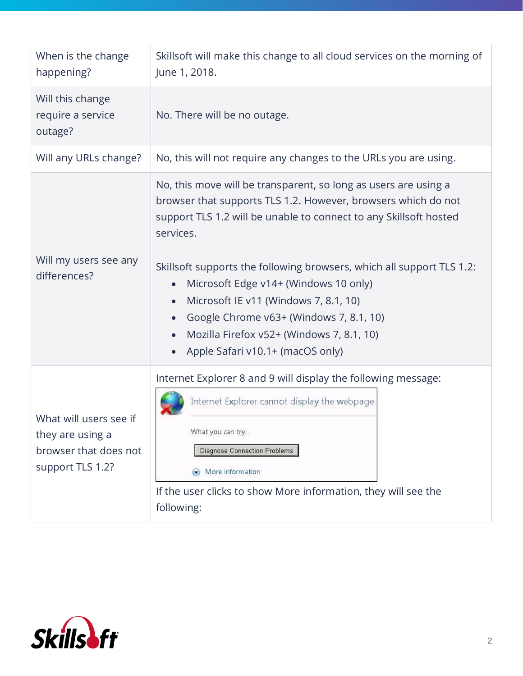| When is the change<br>happening?                                                        | Skillsoft will make this change to all cloud services on the morning of<br>June 1, 2018.                                                                                                                                                                                                                                                                                                                                                                                                                                            |
|-----------------------------------------------------------------------------------------|-------------------------------------------------------------------------------------------------------------------------------------------------------------------------------------------------------------------------------------------------------------------------------------------------------------------------------------------------------------------------------------------------------------------------------------------------------------------------------------------------------------------------------------|
| Will this change<br>require a service<br>outage?                                        | No. There will be no outage.                                                                                                                                                                                                                                                                                                                                                                                                                                                                                                        |
| Will any URLs change?                                                                   | No, this will not require any changes to the URLs you are using.                                                                                                                                                                                                                                                                                                                                                                                                                                                                    |
| Will my users see any<br>differences?                                                   | No, this move will be transparent, so long as users are using a<br>browser that supports TLS 1.2. However, browsers which do not<br>support TLS 1.2 will be unable to connect to any Skillsoft hosted<br>services.<br>Skillsoft supports the following browsers, which all support TLS 1.2:<br>Microsoft Edge v14+ (Windows 10 only)<br>$\bullet$<br>Microsoft IE v11 (Windows 7, 8.1, 10)<br>$\bullet$<br>Google Chrome v63+ (Windows 7, 8.1, 10)<br>Mozilla Firefox v52+ (Windows 7, 8.1, 10)<br>Apple Safari v10.1+ (macOS only) |
| What will users see if<br>they are using a<br>browser that does not<br>support TLS 1.2? | Internet Explorer 8 and 9 will display the following message:<br>Internet Explorer cannot display the webpage<br>What you can try:<br>Diagnose Connection Problems<br>$\bigodot$ More information<br>If the user clicks to show More information, they will see the<br>following:                                                                                                                                                                                                                                                   |

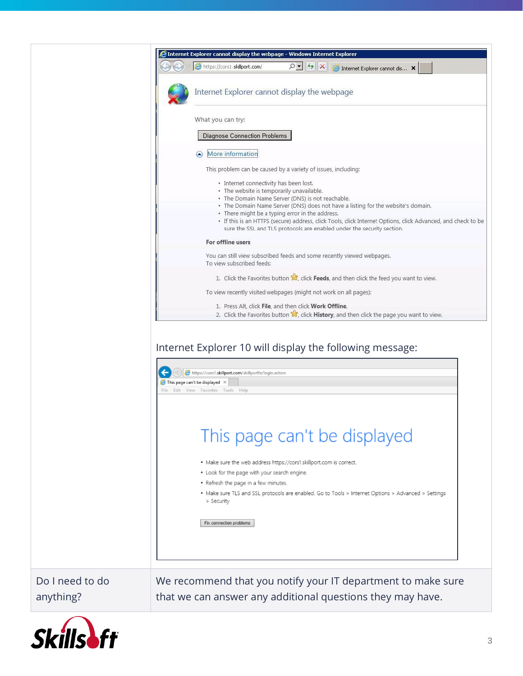

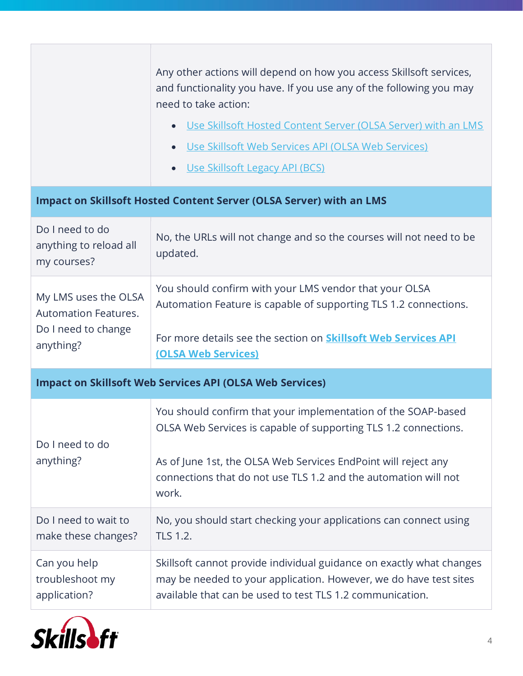<span id="page-3-2"></span><span id="page-3-0"></span>

|                                                                                         | Any other actions will depend on how you access Skillsoft services,<br>and functionality you have. If you use any of the following you may<br>need to take action:<br>Use Skillsoft Hosted Content Server (OLSA Server) with an LMS<br>$\bullet$<br>Use Skillsoft Web Services API (OLSA Web Services)<br>$\bullet$<br>Use Skillsoft Legacy API (BCS)<br>$\bullet$<br>Impact on Skillsoft Hosted Content Server (OLSA Server) with an LMS |  |
|-----------------------------------------------------------------------------------------|-------------------------------------------------------------------------------------------------------------------------------------------------------------------------------------------------------------------------------------------------------------------------------------------------------------------------------------------------------------------------------------------------------------------------------------------|--|
| Do I need to do<br>anything to reload all<br>my courses?                                | No, the URLs will not change and so the courses will not need to be<br>updated.                                                                                                                                                                                                                                                                                                                                                           |  |
| My LMS uses the OLSA<br><b>Automation Features.</b><br>Do I need to change<br>anything? | You should confirm with your LMS vendor that your OLSA<br>Automation Feature is capable of supporting TLS 1.2 connections.<br>For more details see the section on <b>Skillsoft Web Services API</b><br>(OLSA Web Services)                                                                                                                                                                                                                |  |
| <b>Impact on Skillsoft Web Services API (OLSA Web Services)</b>                         |                                                                                                                                                                                                                                                                                                                                                                                                                                           |  |
| Do I need to do<br>anything?                                                            | You should confirm that your implementation of the SOAP-based<br>OLSA Web Services is capable of supporting TLS 1.2 connections.<br>As of June 1st, the OLSA Web Services EndPoint will reject any<br>connections that do not use TLS 1.2 and the automation will not<br>work.                                                                                                                                                            |  |
| Do I need to wait to<br>make these changes?                                             | No, you should start checking your applications can connect using<br>TLS 1.2.                                                                                                                                                                                                                                                                                                                                                             |  |
| Can you help<br>troubleshoot my<br>application?                                         | Skillsoft cannot provide individual guidance on exactly what changes<br>may be needed to your application. However, we do have test sites<br>available that can be used to test TLS 1.2 communication.                                                                                                                                                                                                                                    |  |

<span id="page-3-1"></span>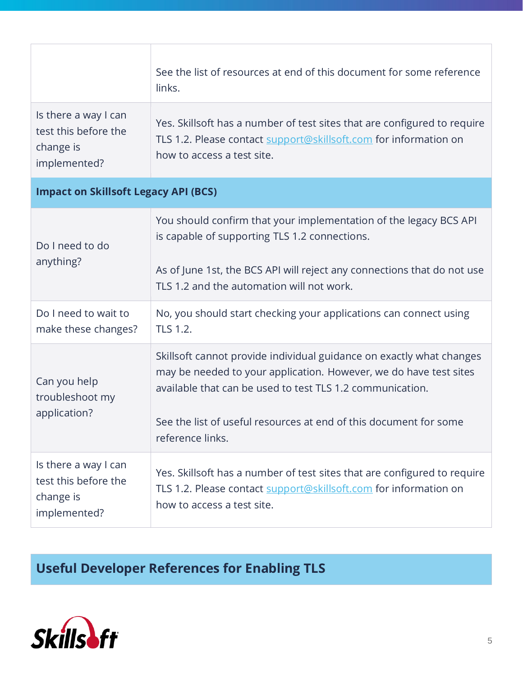<span id="page-4-2"></span><span id="page-4-0"></span>

|                                                                           | See the list of resources at end of this document for some reference<br>links.                                                                                                                                                                                                                  |  |
|---------------------------------------------------------------------------|-------------------------------------------------------------------------------------------------------------------------------------------------------------------------------------------------------------------------------------------------------------------------------------------------|--|
| Is there a way I can<br>test this before the<br>change is<br>implemented? | Yes. Skillsoft has a number of test sites that are configured to require<br>TLS 1.2. Please contact support@skillsoft.com for information on<br>how to access a test site.                                                                                                                      |  |
| <b>Impact on Skillsoft Legacy API (BCS)</b>                               |                                                                                                                                                                                                                                                                                                 |  |
| Do I need to do<br>anything?                                              | You should confirm that your implementation of the legacy BCS API<br>is capable of supporting TLS 1.2 connections.                                                                                                                                                                              |  |
|                                                                           | As of June 1st, the BCS API will reject any connections that do not use<br>TLS 1.2 and the automation will not work.                                                                                                                                                                            |  |
| Do I need to wait to<br>make these changes?                               | No, you should start checking your applications can connect using<br>TLS 1.2.                                                                                                                                                                                                                   |  |
| Can you help<br>troubleshoot my<br>application?                           | Skillsoft cannot provide individual guidance on exactly what changes<br>may be needed to your application. However, we do have test sites<br>available that can be used to test TLS 1.2 communication.<br>See the list of useful resources at end of this document for some<br>reference links. |  |
| Is there a way I can<br>test this before the<br>change is<br>implemented? | Yes. Skillsoft has a number of test sites that are configured to require<br>TLS 1.2. Please contact support@skillsoft.com for information on<br>how to access a test site.                                                                                                                      |  |

## <span id="page-4-1"></span>**Useful Developer References for Enabling TLS**

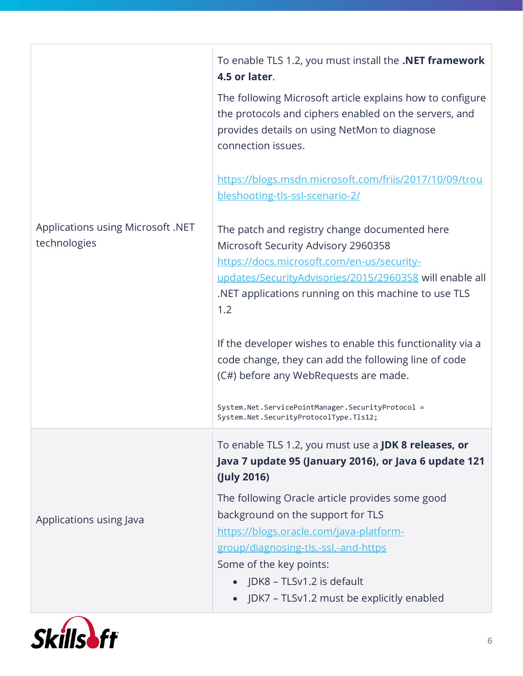| Applications using Microsoft .NET<br>technologies | To enable TLS 1.2, you must install the .NET framework<br>4.5 or later.<br>The following Microsoft article explains how to configure<br>the protocols and ciphers enabled on the servers, and<br>provides details on using NetMon to diagnose<br>connection issues.<br>https://blogs.msdn.microsoft.com/friis/2017/10/09/trou<br>bleshooting-tls-ssl-scenario-2/<br>The patch and registry change documented here<br>Microsoft Security Advisory 2960358 |
|---------------------------------------------------|----------------------------------------------------------------------------------------------------------------------------------------------------------------------------------------------------------------------------------------------------------------------------------------------------------------------------------------------------------------------------------------------------------------------------------------------------------|
|                                                   | https://docs.microsoft.com/en-us/security-<br>updates/SecurityAdvisories/2015/2960358 will enable all<br>.NET applications running on this machine to use TLS<br>1.2<br>If the developer wishes to enable this functionality via a<br>code change, they can add the following line of code<br>(C#) before any WebRequests are made.<br>System.Net.ServicePointManager.SecurityProtocol =<br>System.Net.SecurityProtocolType.Tls12;                       |
| Applications using Java                           | To enable TLS 1.2, you must use a <b>JDK 8 releases, or</b><br>Java 7 update 95 (January 2016), or Java 6 update 121<br>(July 2016)<br>The following Oracle article provides some good<br>background on the support for TLS<br>https://blogs.oracle.com/java-platform-<br>group/diagnosing-tls,-ssl,-and-https<br>Some of the key points:<br>• JDK8 - TLSv1.2 is default<br>• JDK7 - TLSv1.2 must be explicitly enabled                                  |

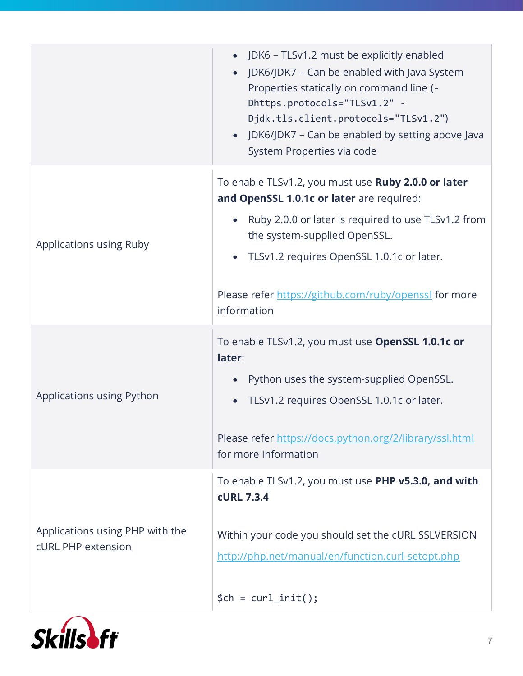|                                                              | JDK6 - TLSv1.2 must be explicitly enabled<br>• JDK6/JDK7 – Can be enabled with Java System<br>Properties statically on command line (-<br>Dhttps.protocols="TLSv1.2" -<br>Djdk.tls.client.protocols="TLSv1.2")<br>• JDK6/JDK7 - Can be enabled by setting above Java<br>System Properties via code             |
|--------------------------------------------------------------|----------------------------------------------------------------------------------------------------------------------------------------------------------------------------------------------------------------------------------------------------------------------------------------------------------------|
| Applications using Ruby                                      | To enable TLSv1.2, you must use Ruby 2.0.0 or later<br>and OpenSSL 1.0.1c or later are required:<br>• Ruby 2.0.0 or later is required to use TLSv1.2 from<br>the system-supplied OpenSSL.<br>TLSv1.2 requires OpenSSL 1.0.1c or later.<br>Please refer https://github.com/ruby/openssl for more<br>information |
| Applications using Python                                    | To enable TLSv1.2, you must use OpenSSL 1.0.1c or<br>later:<br>Python uses the system-supplied OpenSSL.<br>TLSv1.2 requires OpenSSL 1.0.1c or later.<br>Please refer https://docs.python.org/2/library/ssl.html<br>for more information                                                                        |
| Applications using PHP with the<br><b>cURL PHP extension</b> | To enable TLSv1.2, you must use PHP v5.3.0, and with<br><b>cURL 7.3.4</b><br>Within your code you should set the cURL SSLVERSION<br>http://php.net/manual/en/function.curl-setopt.php<br>$$ch = curl_init()$ ;                                                                                                 |